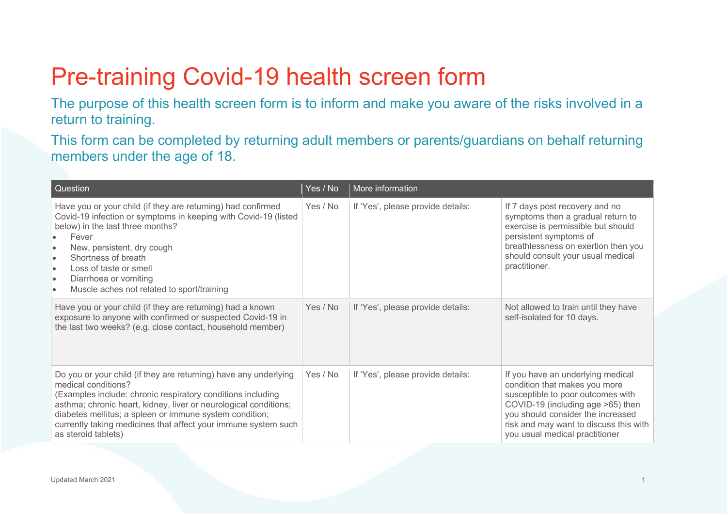## Pre-training Covid-19 health screen form

The purpose of this health screen form is to inform and make you aware of the risks involved in a return to training.

This form can be completed by returning adult members or parents/guardians on behalf returning members under the age of 18.

| Question                                                                                                                                                                                                                                                                                                                                                                                            | Yes / No | More information                  |                                                                                                                                                                                                                                                               |
|-----------------------------------------------------------------------------------------------------------------------------------------------------------------------------------------------------------------------------------------------------------------------------------------------------------------------------------------------------------------------------------------------------|----------|-----------------------------------|---------------------------------------------------------------------------------------------------------------------------------------------------------------------------------------------------------------------------------------------------------------|
| Have you or your child (if they are returning) had confirmed<br>Covid-19 infection or symptoms in keeping with Covid-19 (listed<br>below) in the last three months?<br>Fever<br>New, persistent, dry cough<br>$\bullet$<br>Shortness of breath<br>$\bullet$<br>Loss of taste or smell<br>$\bullet$<br>Diarrhoea or vomiting<br>$\bullet$<br>Muscle aches not related to sport/training<br>$\bullet$ | Yes / No | If 'Yes', please provide details: | If 7 days post recovery and no<br>symptoms then a gradual return to<br>exercise is permissible but should<br>persistent symptoms of<br>breathlessness on exertion then you<br>should consult your usual medical<br>practitioner.                              |
| Have you or your child (if they are returning) had a known<br>exposure to anyone with confirmed or suspected Covid-19 in<br>the last two weeks? (e.g. close contact, household member)                                                                                                                                                                                                              | Yes / No | If 'Yes', please provide details: | Not allowed to train until they have<br>self-isolated for 10 days.                                                                                                                                                                                            |
| Do you or your child (if they are returning) have any underlying<br>medical conditions?<br>(Examples include: chronic respiratory conditions including<br>asthma; chronic heart, kidney, liver or neurological conditions;<br>diabetes mellitus; a spleen or immune system condition;<br>currently taking medicines that affect your immune system such<br>as steroid tablets)                      | Yes / No | If 'Yes', please provide details: | If you have an underlying medical<br>condition that makes you more<br>susceptible to poor outcomes with<br>COVID-19 (including age >65) then<br>you should consider the increased<br>risk and may want to discuss this with<br>you usual medical practitioner |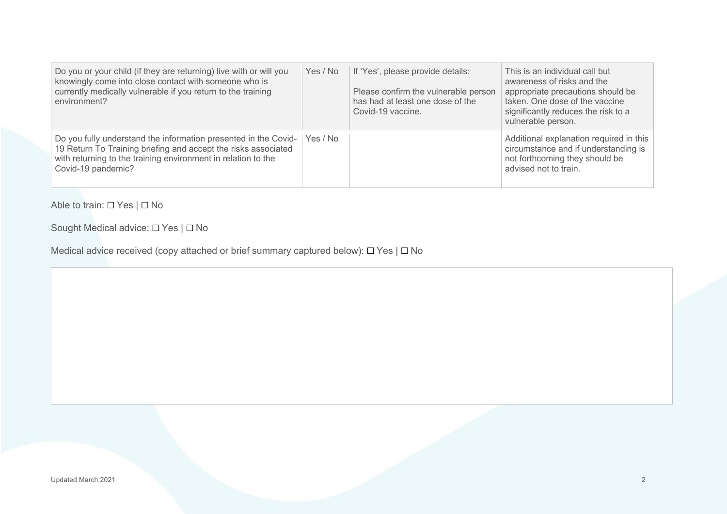| Do you or your child (if they are returning) live with or will you<br>knowingly come into close contact with someone who is<br>currently medically vulnerable if you return to the training<br>environment?              | Yes / No | If 'Yes', please provide details:<br>Please confirm the vulnerable person<br>has had at least one dose of the<br>Covid-19 vaccine. | This is an individual call but<br>awareness of risks and the<br>appropriate precautions should be<br>taken. One dose of the vaccine<br>significantly reduces the risk to a<br>vulnerable person. |
|--------------------------------------------------------------------------------------------------------------------------------------------------------------------------------------------------------------------------|----------|------------------------------------------------------------------------------------------------------------------------------------|--------------------------------------------------------------------------------------------------------------------------------------------------------------------------------------------------|
| Do you fully understand the information presented in the Covid-<br>19 Return To Training briefing and accept the risks associated<br>with returning to the training environment in relation to the<br>Covid-19 pandemic? | Yes / No |                                                                                                                                    | Additional explanation required in this<br>circumstance and if understanding is<br>not forthcoming they should be<br>advised not to train.                                                       |

Able to train: ☐ Yes | ☐ No

Sought Medical advice: □ Yes | □ No

Medical advice received (copy attached or brief summary captured below): □ Yes | □ No